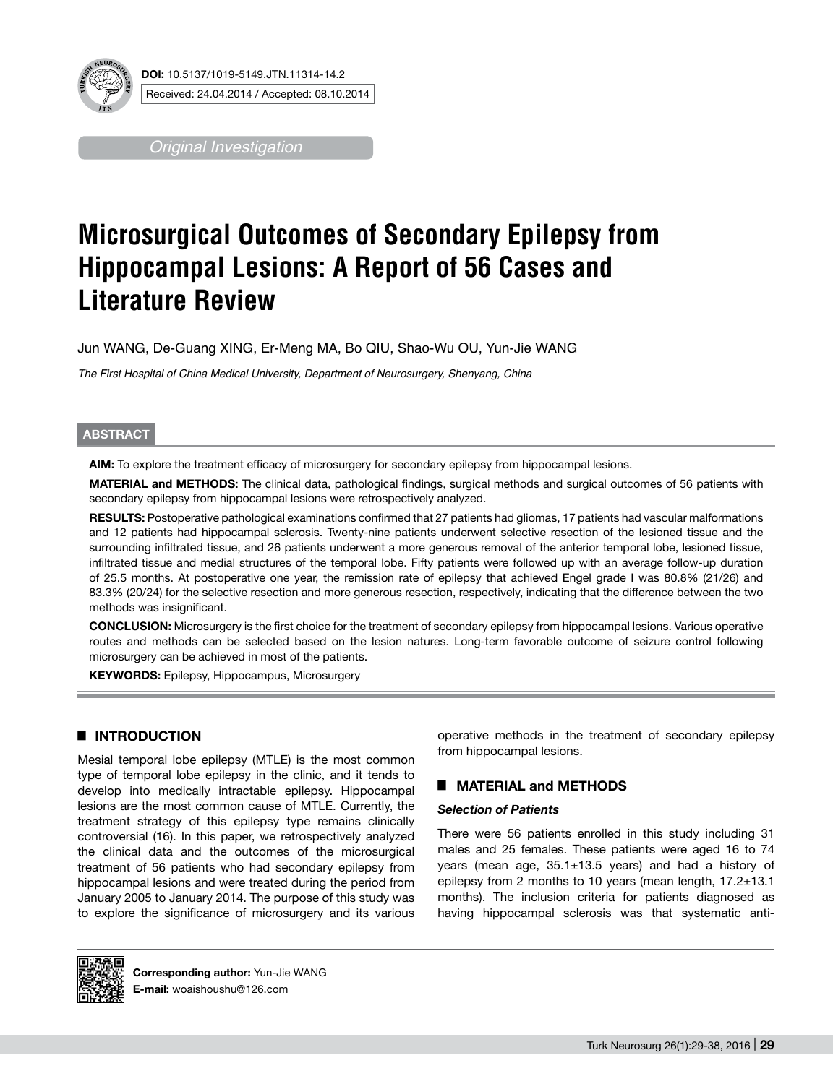

*Original Investigation*

# **Microsurgical Outcomes of Secondary Epilepsy from Hippocampal Lesions: A Report of 56 Cases and Literature Review**

Jun WANG, De-Guang XING, Er-Meng MA, Bo QIU, Shao-Wu OU, Yun-Jie WANG

*The First Hospital of China Medical University, Department of Neurosurgery, Shenyang, China*

## **ABSTRACT**

**AIm:** To explore the treatment efficacy of microsurgery for secondary epilepsy from hippocampal lesions.

**MaterIal and Methods:** The clinical data, pathological findings, surgical methods and surgical outcomes of 56 patients with secondary epilepsy from hippocampal lesions were retrospectively analyzed.

RESULTS: Postoperative pathological examinations confirmed that 27 patients had gliomas, 17 patients had vascular malformations and 12 patients had hippocampal sclerosis. Twenty-nine patients underwent selective resection of the lesioned tissue and the surrounding infiltrated tissue, and 26 patients underwent a more generous removal of the anterior temporal lobe, lesioned tissue, infiltrated tissue and medial structures of the temporal lobe. Fifty patients were followed up with an average follow-up duration of 25.5 months. At postoperative one year, the remission rate of epilepsy that achieved Engel grade I was 80.8% (21/26) and 83.3% (20/24) for the selective resection and more generous resection, respectively, indicating that the difference between the two methods was insignificant.

**ConclusIon:** Microsurgery is the first choice for the treatment of secondary epilepsy from hippocampal lesions. Various operative routes and methods can be selected based on the lesion natures. Long-term favorable outcome of seizure control following microsurgery can be achieved in most of the patients.

**Keywords:** Epilepsy, Hippocampus, Microsurgery

# █ **INTRODUCTION**

Mesial temporal lobe epilepsy (MTLE) is the most common type of temporal lobe epilepsy in the clinic, and it tends to develop into medically intractable epilepsy. Hippocampal lesions are the most common cause of MTLE. Currently, the treatment strategy of this epilepsy type remains clinically controversial (16). In this paper, we retrospectively analyzed the clinical data and the outcomes of the microsurgical treatment of 56 patients who had secondary epilepsy from hippocampal lesions and were treated during the period from January 2005 to January 2014. The purpose of this study was to explore the significance of microsurgery and its various operative methods in the treatment of secondary epilepsy from hippocampal lesions.

# █ **MATERIAL and METHODS**

### *Selection of Patients*

There were 56 patients enrolled in this study including 31 males and 25 females. These patients were aged 16 to 74 years (mean age, 35.1±13.5 years) and had a history of epilepsy from 2 months to 10 years (mean length, 17.2±13.1 months). The inclusion criteria for patients diagnosed as having hippocampal sclerosis was that systematic anti-



**Corresponding author:** Yun-Jie WANG **E-mail:** woaishoushu@126.com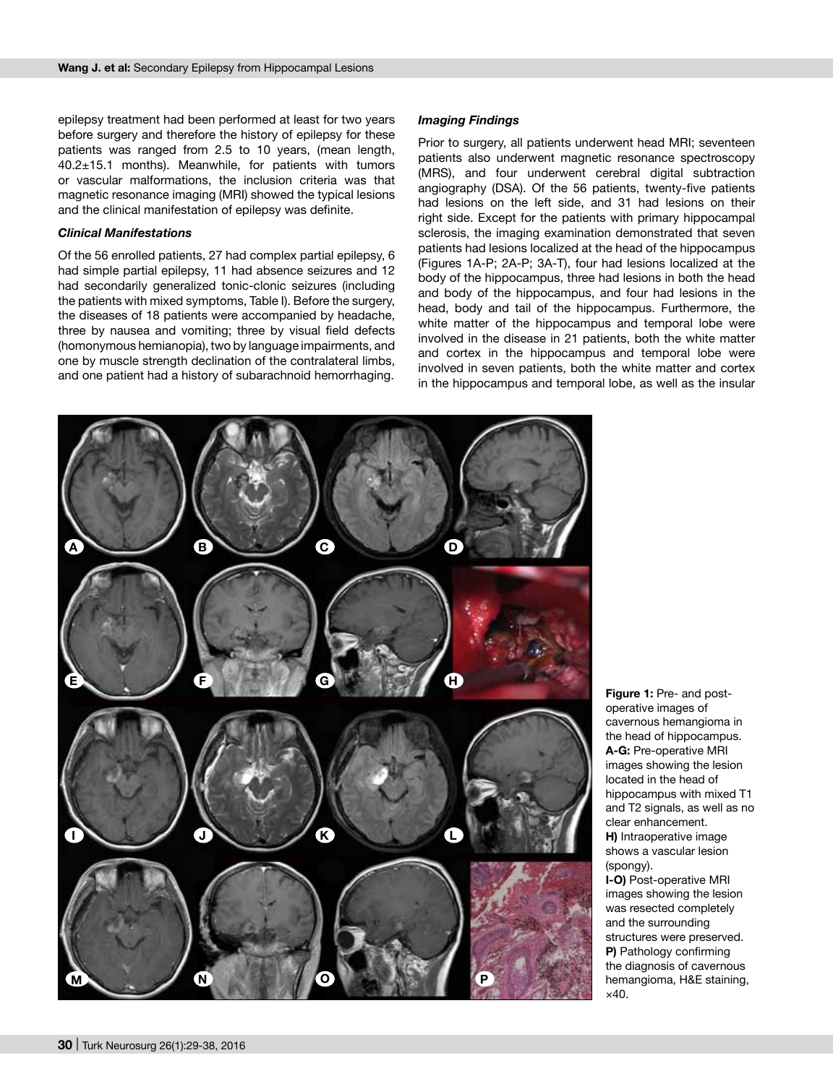epilepsy treatment had been performed at least for two years before surgery and therefore the history of epilepsy for these patients was ranged from 2.5 to 10 years, (mean length, 40.2±15.1 months). Meanwhile, for patients with tumors or vascular malformations, the inclusion criteria was that magnetic resonance imaging (MRI) showed the typical lesions and the clinical manifestation of epilepsy was definite.

#### *Clinical Manifestations*

Of the 56 enrolled patients, 27 had complex partial epilepsy, 6 had simple partial epilepsy, 11 had absence seizures and 12 had secondarily generalized tonic-clonic seizures (including the patients with mixed symptoms, Table I). Before the surgery, the diseases of 18 patients were accompanied by headache, three by nausea and vomiting; three by visual field defects (homonymous hemianopia), two by language impairments, and one by muscle strength declination of the contralateral limbs, and one patient had a history of subarachnoid hemorrhaging.

#### *Imaging Findings*

Prior to surgery, all patients underwent head MRI; seventeen patients also underwent magnetic resonance spectroscopy (MRS), and four underwent cerebral digital subtraction angiography (DSA). Of the 56 patients, twenty-five patients had lesions on the left side, and 31 had lesions on their right side. Except for the patients with primary hippocampal sclerosis, the imaging examination demonstrated that seven patients had lesions localized at the head of the hippocampus (Figures 1A-P; 2A-P; 3A-T), four had lesions localized at the body of the hippocampus, three had lesions in both the head and body of the hippocampus, and four had lesions in the head, body and tail of the hippocampus. Furthermore, the white matter of the hippocampus and temporal lobe were involved in the disease in 21 patients, both the white matter and cortex in the hippocampus and temporal lobe were involved in seven patients, both the white matter and cortex in the hippocampus and temporal lobe, as well as the insular



**Figure 1:** Pre- and postoperative images of cavernous hemangioma in the head of hippocampus. **A-G:** pre-operative MRI images showing the lesion located in the head of hippocampus with mixed T1 and T2 signals, as well as no clear enhancement. **H)** Intraoperative image shows a vascular lesion (spongy).

**I-O)** Post-operative MRI images showing the lesion was resected completely and the surrounding structures were preserved. **P)** Pathology confirming the diagnosis of cavernous hemangioma, H&E staining, ×40.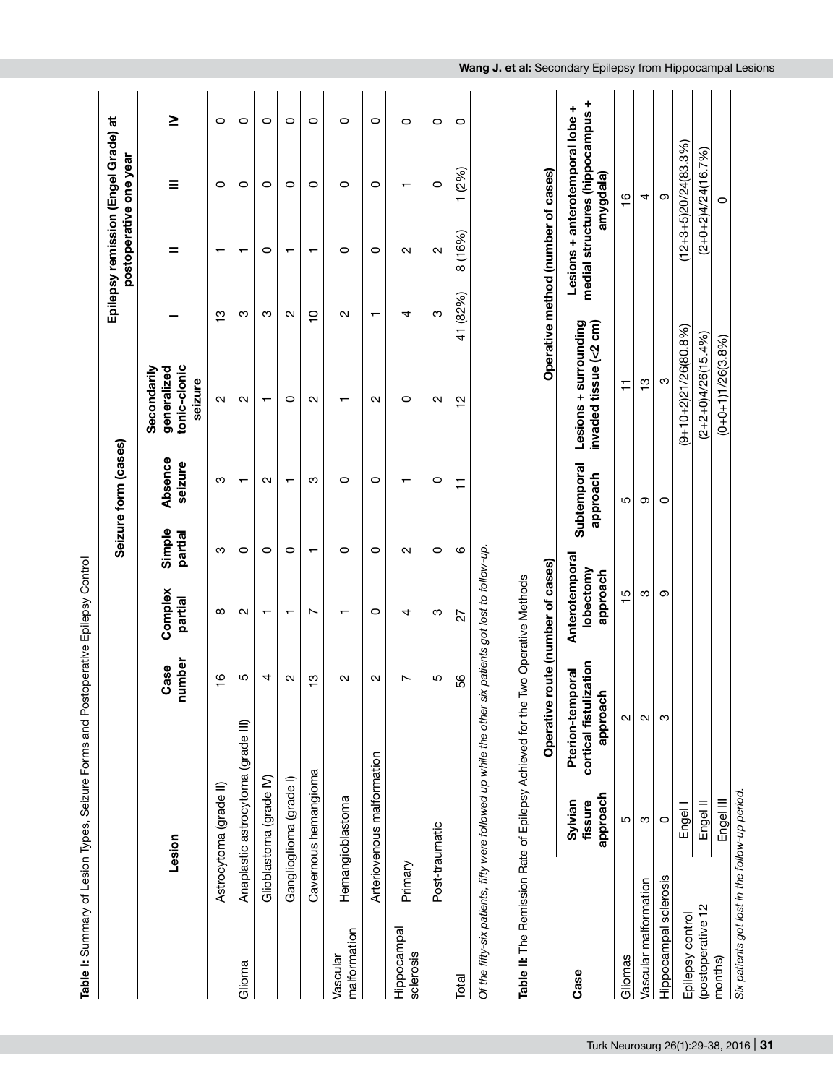|                          |                                                                                                                                                      |                                                   |                   |                                         |                          | Seizure form (cases)    |                                                       |                                    | Epilepsy remission (Engel Grade) at<br>postoperative one year       |                         |         |
|--------------------------|------------------------------------------------------------------------------------------------------------------------------------------------------|---------------------------------------------------|-------------------|-----------------------------------------|--------------------------|-------------------------|-------------------------------------------------------|------------------------------------|---------------------------------------------------------------------|-------------------------|---------|
|                          | Lesion                                                                                                                                               |                                                   | number<br>Case    | Complex<br>partial                      | Simple<br>partial        | Absence<br>seizure      | tonic-clonic<br>Secondarily<br>generalized<br>seizure |                                    | =                                                                   | Ξ                       | ≥       |
|                          | Astrocytoma (grade II)                                                                                                                               |                                                   | $\frac{6}{1}$     | $\infty$                                | ო                        | ო                       | $\sim$                                                | ო                                  | ᠇                                                                   | $\circ$                 | $\circ$ |
| Glioma                   | Anaplastic astrocytoma (grade III)                                                                                                                   |                                                   | Ю                 | $\mathbf{\Omega}$                       | 0                        | ↽                       | $\mathbf{\Omega}$                                     | ო                                  | $\overline{\phantom{0}}$                                            | 0                       | 0       |
|                          | Glioblastoma (grade IV)                                                                                                                              |                                                   | 4                 | $\overline{\phantom{0}}$                | $\circ$                  | $\sim$                  | $\overline{\phantom{0}}$                              | ო                                  | 0                                                                   | $\circ$                 | $\circ$ |
|                          | Ganglioglioma (grade I)                                                                                                                              |                                                   | $\mathbf{\Omega}$ | ᠇                                       | $\circ$                  | $\mathbf{\tau}$         | 0                                                     | $\mathbf{\Omega}$                  | $\mathbf{\tau}$                                                     | 0                       | 0       |
|                          | Cavernous hemangioma                                                                                                                                 |                                                   | ဗ္                | Ľ                                       | $\overline{\phantom{0}}$ | က                       | $\mathbf{\Omega}$                                     | $\overline{C}$                     | $\overline{\phantom{0}}$                                            | $\circ$                 | $\circ$ |
| malformation<br>Vascular | Hemangioblastoma                                                                                                                                     |                                                   | $\sim$            | ᠇                                       | 0                        | 0                       | $\overline{\phantom{0}}$                              | $\mathbf{\Omega}$                  | 0                                                                   | O                       | 0       |
|                          | Arteriovenous malformation                                                                                                                           |                                                   | N                 | $\circ$                                 | O                        | 0                       | $\mathbf{\Omega}$                                     | $\overline{\phantom{0}}$           | O                                                                   | O                       | 0       |
| Hippocampal<br>sclerosis | Primary                                                                                                                                              |                                                   | $\overline{ }$    | 4                                       | $\sim$                   | ┯                       | 0                                                     | 4                                  | $\sim$                                                              | $\mathbf -$             | $\circ$ |
|                          | Post-traumatic                                                                                                                                       |                                                   | Ю                 | ო                                       | $\circ$                  | $\circ$                 | $\sim$                                                | ო                                  | $\mathbf{\Omega}$                                                   | 0                       | 0       |
| Total                    |                                                                                                                                                      |                                                   | SS                | 27                                      | ဖ                        | $\overline{1}$          | $\frac{1}{2}$                                         | (82%)<br>$\frac{4}{1}$             | 8 (16%)                                                             | (2%)<br>$\mathbf{\tau}$ | $\circ$ |
|                          | Table II: The Remission Rate of Epilepsy Achieved for the Two Operative Methods<br>Of the fifty-six patients, fifty were followed up while the other |                                                   |                   | six patients got lost to follow-up.     |                          |                         |                                                       |                                    |                                                                     |                         |         |
|                          |                                                                                                                                                      |                                                   |                   | Operative route (number of cases)       |                          |                         |                                                       | Operative method (number of cases) |                                                                     |                         |         |
| Case                     | approach<br>Sylvian<br>fissure                                                                                                                       | cortical fistulization<br>approach<br>Pterion-ter | nporal            | Anterotemporal<br>lobectomy<br>approach |                          | Subtemporal<br>approach | Lesions + surrounding<br>invaded tissue (<2 cm)       |                                    | medial structures (hippocampus +<br>Lesions + anterotemporal lobe + | amygdala)               |         |
| Gliomas                  | Ю                                                                                                                                                    | $\mathbf{\Omega}$                                 |                   | $\frac{15}{1}$                          |                          | 5                       | Ξ                                                     |                                    |                                                                     | $\frac{6}{1}$           |         |
| Vascular malformation    | ო                                                                                                                                                    | $\mathbf{\Omega}$                                 |                   | ო                                       |                          | တ                       | ှာ                                                    |                                    |                                                                     | 4                       |         |
| Hippocampal sclerosis    | $\circ$                                                                                                                                              | S                                                 |                   | တ                                       |                          | O                       | ო                                                     |                                    |                                                                     | တ                       |         |
| Epilepsy control         | Engel                                                                                                                                                |                                                   |                   |                                         |                          |                         | $(9+10+2)21/26(80.8\%)$                               |                                    |                                                                     | $(12+3+5)20/24(83.3\%)$ |         |
| (postoperative 12        | Engel II                                                                                                                                             |                                                   |                   |                                         |                          |                         | $(2+2+0)4/26(15.4%)$                                  |                                    |                                                                     | $(2+0+2)4/24(16.7%)$    |         |
| months)                  | Engel III                                                                                                                                            |                                                   |                   |                                         |                          |                         | $(D+0+1)1/26(3.8%)$                                   |                                    |                                                                     | 0                       |         |
|                          | Six patients got lost in the follow-up period.                                                                                                       |                                                   |                   |                                         |                          |                         |                                                       |                                    |                                                                     |                         |         |

Turk Neurosurg 26(1):29-38, 2016 | **31**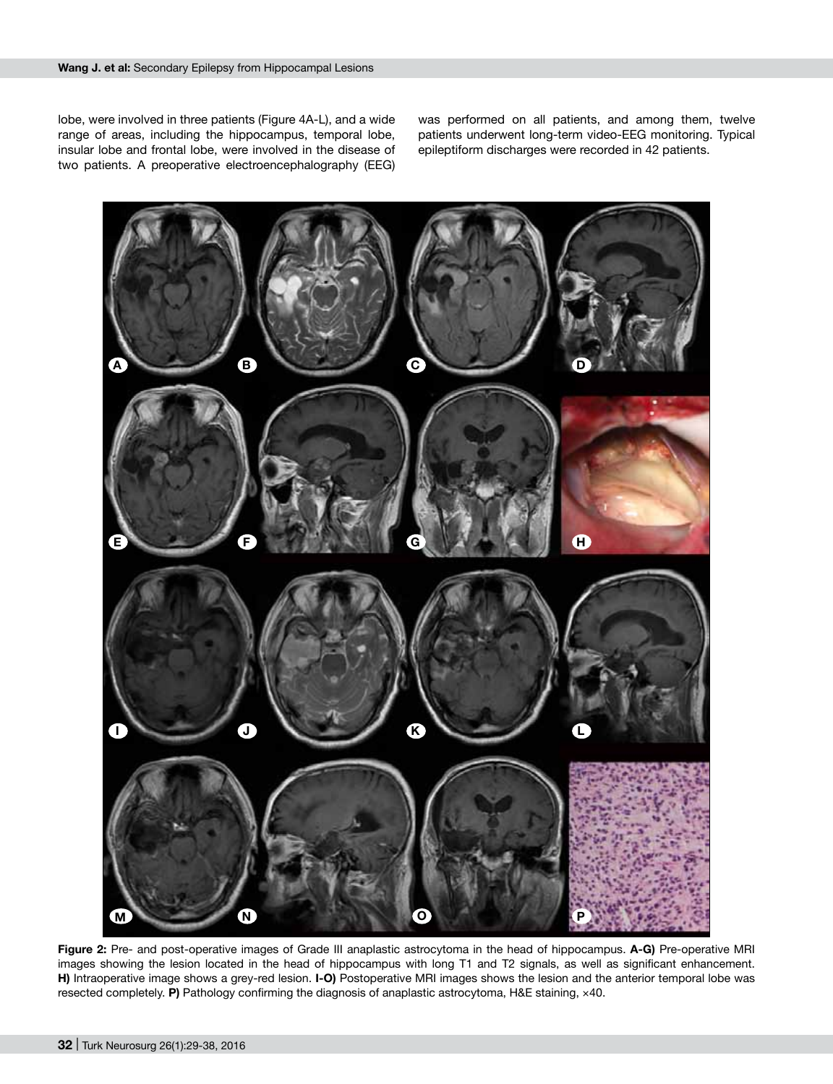lobe, were involved in three patients (Figure 4A-L), and a wide range of areas, including the hippocampus, temporal lobe, insular lobe and frontal lobe, were involved in the disease of two patients. A preoperative electroencephalography (EEG) was performed on all patients, and among them, twelve patients underwent long-term video-EEG monitoring. Typical epileptiform discharges were recorded in 42 patients.



**Figure 2:** Pre- and post-operative images of Grade III anaplastic astrocytoma in the head of hippocampus. **A-G)** pre-operative MRI images showing the lesion located in the head of hippocampus with long T1 and T2 signals, as well as significant enhancement. **H)** Intraoperative image shows a grey-red lesion. **I-O)** postoperative MRI images shows the lesion and the anterior temporal lobe was resected completely. **P)** Pathology confirming the diagnosis of anaplastic astrocytoma, H&E staining, ×40.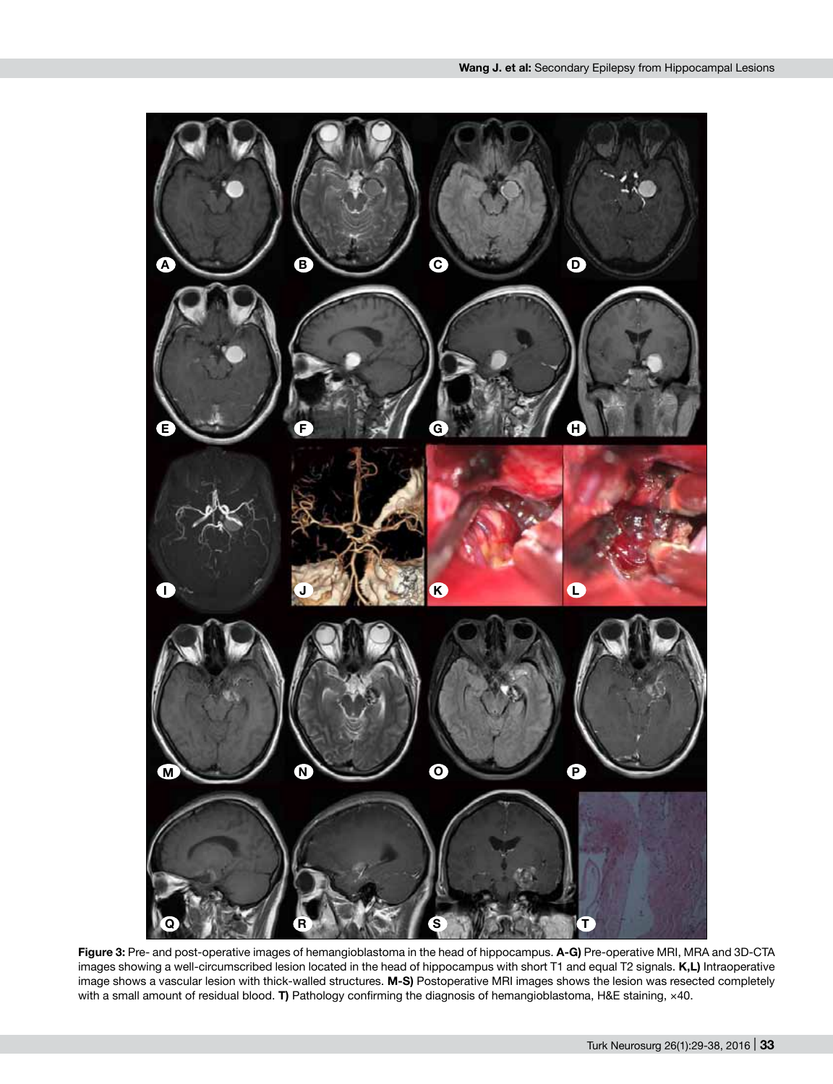

**Figure 3:** Pre- and post-operative images of hemangioblastoma in the head of hippocampus. **A-G)** pre-operative MRI, MRA and 3D-CTA images showing a well-circumscribed lesion located in the head of hippocampus with short T1 and equal T2 signals. **K,L)** Intraoperative image shows a vascular lesion with thick-walled structures. **M-S)** postoperative MRI images shows the lesion was resected completely with a small amount of residual blood. **T)** Pathology confirming the diagnosis of hemangioblastoma, H&E staining, ×40.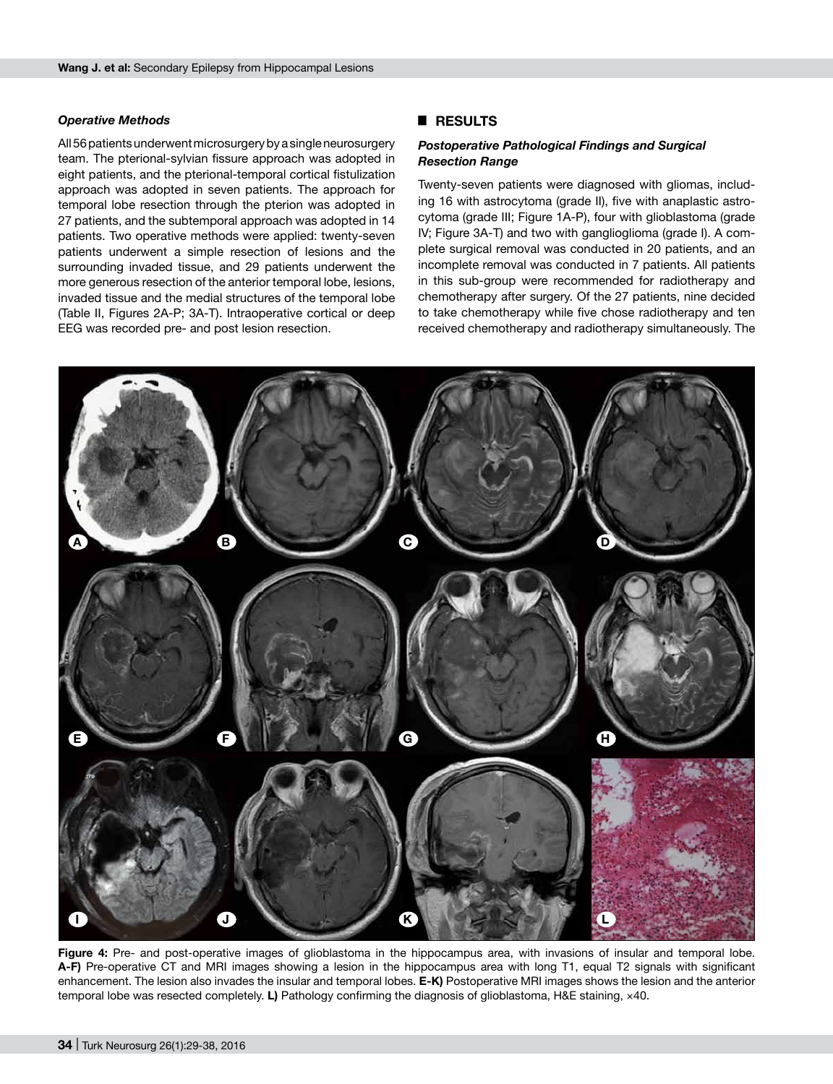#### *Operative Methods*

All 56 patients underwent microsurgery by a single neurosurgery team. The pterional-sylvian fissure approach was adopted in eight patients, and the pterional-temporal cortical fistulization approach was adopted in seven patients. The approach for temporal lobe resection through the pterion was adopted in 27 patients, and the subtemporal approach was adopted in 14 patients. Two operative methods were applied: twenty-seven patients underwent a simple resection of lesions and the surrounding invaded tissue, and 29 patients underwent the more generous resection of the anterior temporal lobe, lesions, invaded tissue and the medial structures of the temporal lobe (Table II, Figures 2A-P; 3A-T). Intraoperative cortical or deep EEG was recorded pre- and post lesion resection.

## █ **RESULTS**

## *Postoperative Pathological Findings and Surgical Resection Range*

Twenty-seven patients were diagnosed with gliomas, including 16 with astrocytoma (grade II), five with anaplastic astrocytoma (grade III; Figure 1A-P), four with glioblastoma (grade IV; Figure 3A-T) and two with ganglioglioma (grade I). A complete surgical removal was conducted in 20 patients, and an incomplete removal was conducted in 7 patients. All patients in this sub-group were recommended for radiotherapy and chemotherapy after surgery. Of the 27 patients, nine decided to take chemotherapy while five chose radiotherapy and ten received chemotherapy and radiotherapy simultaneously. The



**Figure 4:** Pre- and post-operative images of glioblastoma in the hippocampus area, with invasions of insular and temporal lobe. **A-F)** pre-operative CT and MRI images showing a lesion in the hippocampus area with long T1, equal T2 signals with significant enhancement. The lesion also invades the insular and temporal lobes. **E-K)** postoperative MRI images shows the lesion and the anterior temporal lobe was resected completely. **L)** Pathology confirming the diagnosis of glioblastoma, H&E staining, ×40.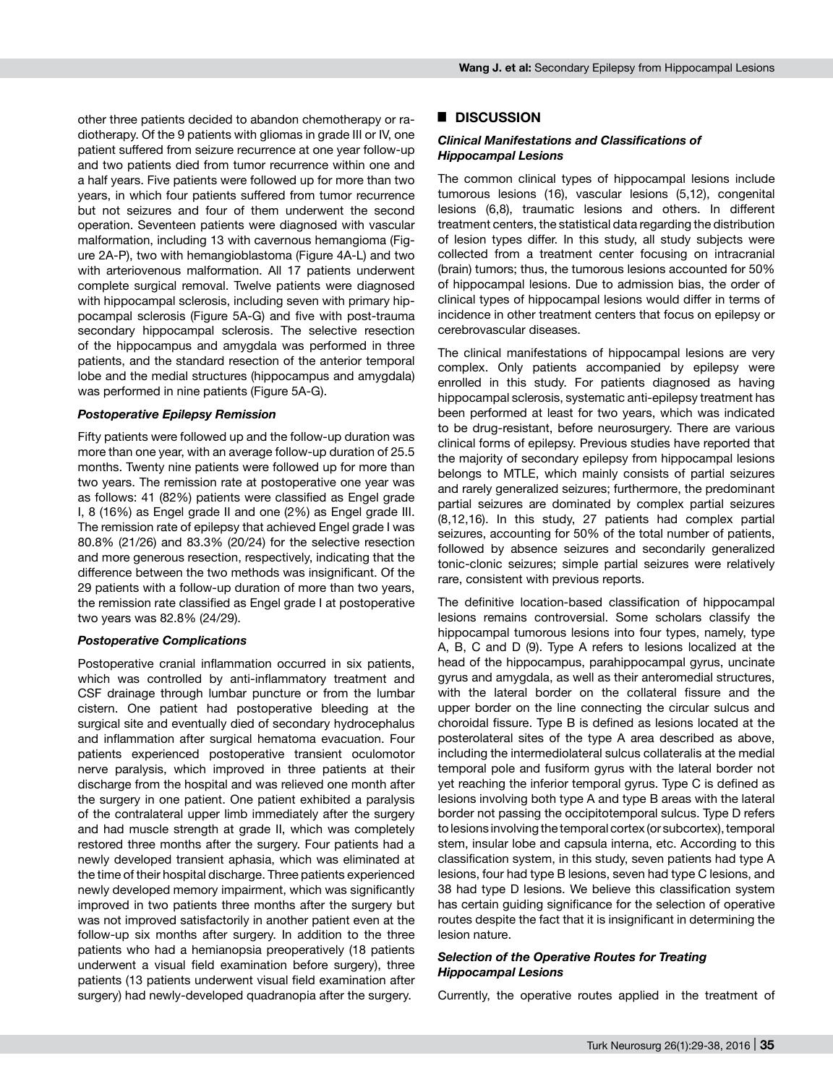other three patients decided to abandon chemotherapy or radiotherapy. Of the 9 patients with gliomas in grade III or IV, one patient suffered from seizure recurrence at one year follow-up and two patients died from tumor recurrence within one and a half years. Five patients were followed up for more than two years, in which four patients suffered from tumor recurrence but not seizures and four of them underwent the second operation. Seventeen patients were diagnosed with vascular malformation, including 13 with cavernous hemangioma (Figure 2A-P), two with hemangioblastoma (Figure 4A-L) and two with arteriovenous malformation. All 17 patients underwent complete surgical removal. Twelve patients were diagnosed with hippocampal sclerosis, including seven with primary hippocampal sclerosis (Figure 5A-G) and five with post-trauma secondary hippocampal sclerosis. The selective resection of the hippocampus and amygdala was performed in three patients, and the standard resection of the anterior temporal lobe and the medial structures (hippocampus and amygdala) was performed in nine patients (Figure 5A-G).

#### *Postoperative Epilepsy Remission*

Fifty patients were followed up and the follow-up duration was more than one year, with an average follow-up duration of 25.5 months. Twenty nine patients were followed up for more than two years. The remission rate at postoperative one year was as follows: 41 (82%) patients were classified as Engel grade I, 8 (16%) as Engel grade II and one (2%) as Engel grade III. The remission rate of epilepsy that achieved Engel grade I was 80.8% (21/26) and 83.3% (20/24) for the selective resection and more generous resection, respectively, indicating that the difference between the two methods was insignificant. Of the 29 patients with a follow-up duration of more than two years, the remission rate classified as Engel grade I at postoperative two years was 82.8% (24/29).

#### *Postoperative Complications*

Postoperative cranial inflammation occurred in six patients, which was controlled by anti-inflammatory treatment and CSF drainage through lumbar puncture or from the lumbar cistern. One patient had postoperative bleeding at the surgical site and eventually died of secondary hydrocephalus and inflammation after surgical hematoma evacuation. Four patients experienced postoperative transient oculomotor nerve paralysis, which improved in three patients at their discharge from the hospital and was relieved one month after the surgery in one patient. One patient exhibited a paralysis of the contralateral upper limb immediately after the surgery and had muscle strength at grade II, which was completely restored three months after the surgery. Four patients had a newly developed transient aphasia, which was eliminated at the time of their hospital discharge. Three patients experienced newly developed memory impairment, which was significantly improved in two patients three months after the surgery but was not improved satisfactorily in another patient even at the follow-up six months after surgery. In addition to the three patients who had a hemianopsia preoperatively (18 patients underwent a visual field examination before surgery), three patients (13 patients underwent visual field examination after surgery) had newly-developed quadranopia after the surgery.

#### █ **DISCUSSION**

#### *Clinical Manifestations and Classifications of Hippocampal Lesions*

The common clinical types of hippocampal lesions include tumorous lesions (16), vascular lesions (5,12), congenital lesions (6,8), traumatic lesions and others. In different treatment centers, the statistical data regarding the distribution of lesion types differ. In this study, all study subjects were collected from a treatment center focusing on intracranial (brain) tumors; thus, the tumorous lesions accounted for 50% of hippocampal lesions. Due to admission bias, the order of clinical types of hippocampal lesions would differ in terms of incidence in other treatment centers that focus on epilepsy or cerebrovascular diseases.

The clinical manifestations of hippocampal lesions are very complex. Only patients accompanied by epilepsy were enrolled in this study. For patients diagnosed as having hippocampal sclerosis, systematic anti-epilepsy treatment has been performed at least for two years, which was indicated to be drug-resistant, before neurosurgery. There are various clinical forms of epilepsy. Previous studies have reported that the majority of secondary epilepsy from hippocampal lesions belongs to MTLE, which mainly consists of partial seizures and rarely generalized seizures; furthermore, the predominant partial seizures are dominated by complex partial seizures (8,12,16). In this study, 27 patients had complex partial seizures, accounting for 50% of the total number of patients, followed by absence seizures and secondarily generalized tonic-clonic seizures; simple partial seizures were relatively rare, consistent with previous reports.

The definitive location-based classification of hippocampal lesions remains controversial. Some scholars classify the hippocampal tumorous lesions into four types, namely, type A, B, C and D (9). Type A refers to lesions localized at the head of the hippocampus, parahippocampal gyrus, uncinate gyrus and amygdala, as well as their anteromedial structures, with the lateral border on the collateral fissure and the upper border on the line connecting the circular sulcus and choroidal fissure. Type B is defined as lesions located at the posterolateral sites of the type A area described as above, including the intermediolateral sulcus collateralis at the medial temporal pole and fusiform gyrus with the lateral border not yet reaching the inferior temporal gyrus. Type C is defined as lesions involving both type A and type B areas with the lateral border not passing the occipitotemporal sulcus. Type D refers to lesions involving the temporal cortex (or subcortex), temporal stem, insular lobe and capsula interna, etc. According to this classification system, in this study, seven patients had type A lesions, four had type B lesions, seven had type C lesions, and 38 had type D lesions. We believe this classification system has certain guiding significance for the selection of operative routes despite the fact that it is insignificant in determining the lesion nature.

#### *Selection of the Operative Routes for Treating Hippocampal Lesions*

Currently, the operative routes applied in the treatment of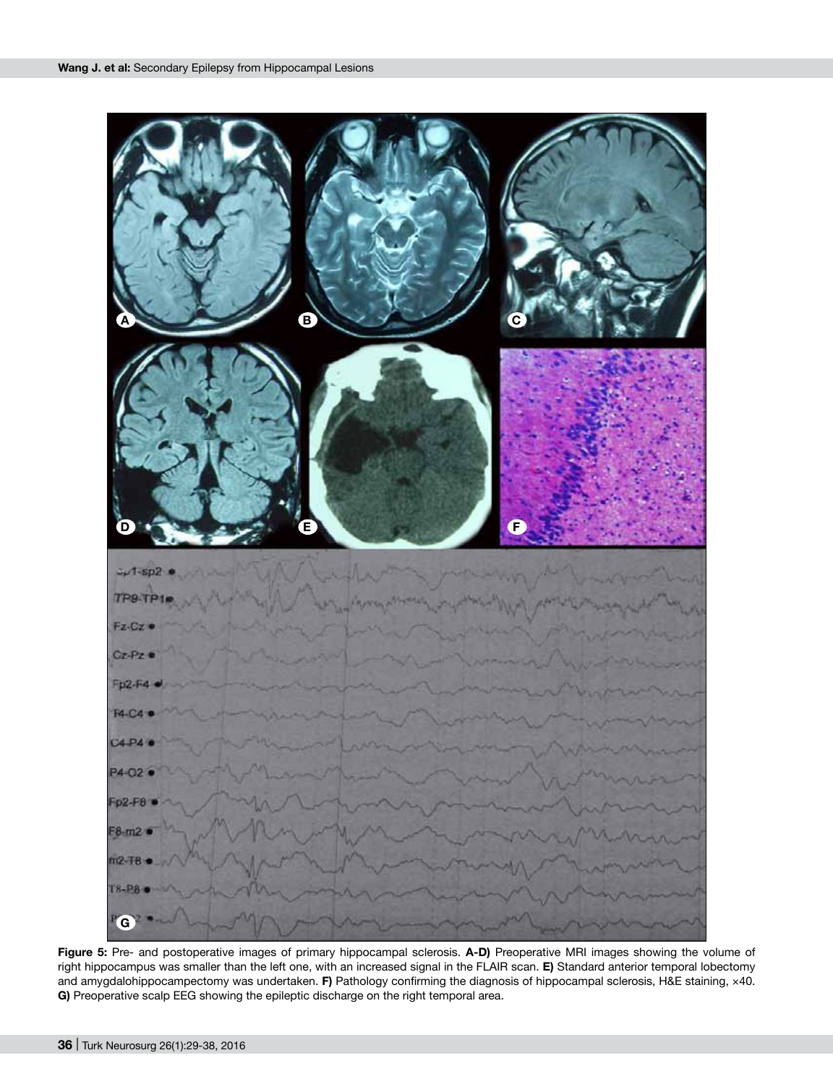

Figure 5: Pre- and postoperative images of primary hippocampal sclerosis. A-D) Preoperative MRI images showing the volume of right hippocampus was smaller than the left one, with an increased signal in the FLAIR scan. **E)** standard anterior temporal lobectomy and amygdalohippocampectomy was undertaken. **F)** Pathology confirming the diagnosis of hippocampal sclerosis, H&E staining, ×40. **G)** Preoperative scalp EEG showing the epileptic discharge on the right temporal area.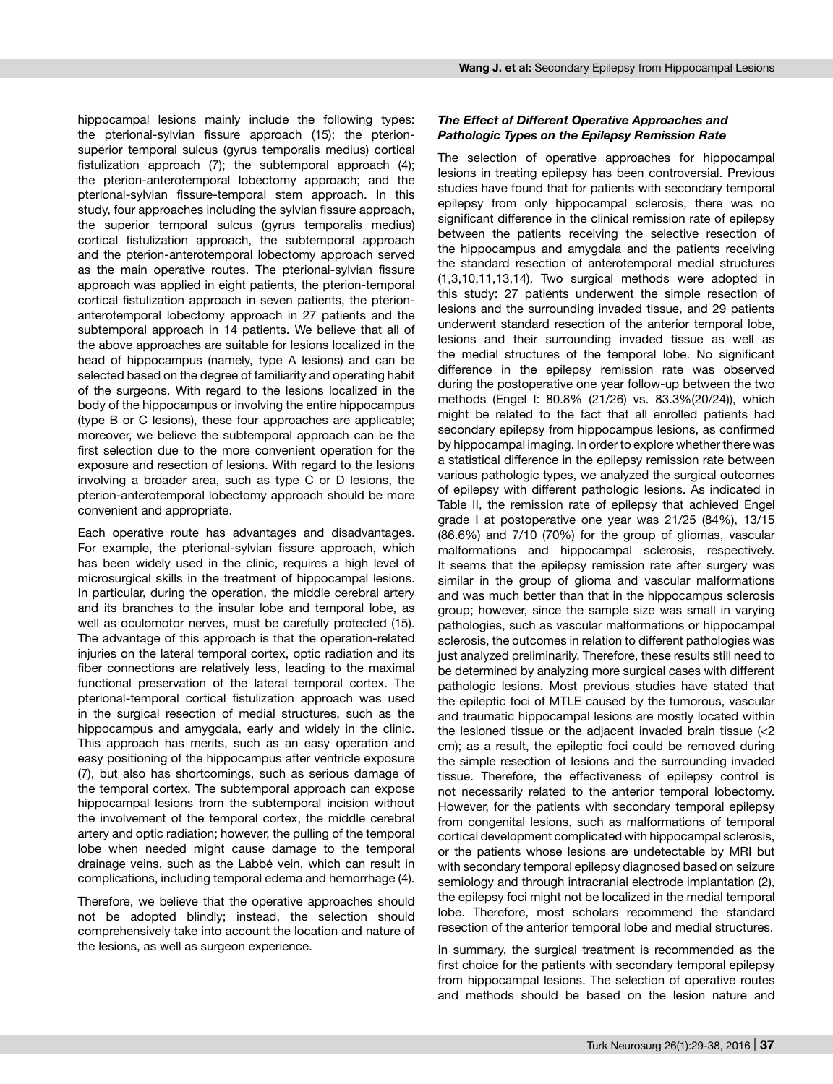hippocampal lesions mainly include the following types: the pterional-sylvian fissure approach (15); the pterionsuperior temporal sulcus (gyrus temporalis medius) cortical fistulization approach (7); the subtemporal approach (4); the pterion-anterotemporal lobectomy approach; and the pterional-sylvian fissure-temporal stem approach. In this study, four approaches including the sylvian fissure approach, the superior temporal sulcus (gyrus temporalis medius) cortical fistulization approach, the subtemporal approach and the pterion-anterotemporal lobectomy approach served as the main operative routes. The pterional-sylvian fissure approach was applied in eight patients, the pterion-temporal cortical fistulization approach in seven patients, the pterionanterotemporal lobectomy approach in 27 patients and the subtemporal approach in 14 patients. We believe that all of the above approaches are suitable for lesions localized in the head of hippocampus (namely, type A lesions) and can be selected based on the degree of familiarity and operating habit of the surgeons. With regard to the lesions localized in the body of the hippocampus or involving the entire hippocampus (type B or C lesions), these four approaches are applicable; moreover, we believe the subtemporal approach can be the first selection due to the more convenient operation for the exposure and resection of lesions. With regard to the lesions involving a broader area, such as type C or D lesions, the pterion-anterotemporal lobectomy approach should be more convenient and appropriate.

Each operative route has advantages and disadvantages. For example, the pterional-sylvian fissure approach, which has been widely used in the clinic, requires a high level of microsurgical skills in the treatment of hippocampal lesions. In particular, during the operation, the middle cerebral artery and its branches to the insular lobe and temporal lobe, as well as oculomotor nerves, must be carefully protected (15). The advantage of this approach is that the operation-related injuries on the lateral temporal cortex, optic radiation and its fiber connections are relatively less, leading to the maximal functional preservation of the lateral temporal cortex. The pterional-temporal cortical fistulization approach was used in the surgical resection of medial structures, such as the hippocampus and amygdala, early and widely in the clinic. This approach has merits, such as an easy operation and easy positioning of the hippocampus after ventricle exposure (7), but also has shortcomings, such as serious damage of the temporal cortex. The subtemporal approach can expose hippocampal lesions from the subtemporal incision without the involvement of the temporal cortex, the middle cerebral artery and optic radiation; however, the pulling of the temporal lobe when needed might cause damage to the temporal drainage veins, such as the Labbé vein, which can result in complications, including temporal edema and hemorrhage (4).

Therefore, we believe that the operative approaches should not be adopted blindly; instead, the selection should comprehensively take into account the location and nature of the lesions, as well as surgeon experience.

### *The Effect of Different Operative Approaches and Pathologic Types on the Epilepsy Remission Rate*

The selection of operative approaches for hippocampal lesions in treating epilepsy has been controversial. Previous studies have found that for patients with secondary temporal epilepsy from only hippocampal sclerosis, there was no significant difference in the clinical remission rate of epilepsy between the patients receiving the selective resection of the hippocampus and amygdala and the patients receiving the standard resection of anterotemporal medial structures (1,3,10,11,13,14). Two surgical methods were adopted in this study: 27 patients underwent the simple resection of lesions and the surrounding invaded tissue, and 29 patients underwent standard resection of the anterior temporal lobe, lesions and their surrounding invaded tissue as well as the medial structures of the temporal lobe. No significant difference in the epilepsy remission rate was observed during the postoperative one year follow-up between the two methods (Engel I: 80.8% (21/26) vs. 83.3%(20/24)), which might be related to the fact that all enrolled patients had secondary epilepsy from hippocampus lesions, as confirmed by hippocampal imaging. In order to explore whether there was a statistical difference in the epilepsy remission rate between various pathologic types, we analyzed the surgical outcomes of epilepsy with different pathologic lesions. As indicated in Table II, the remission rate of epilepsy that achieved Engel grade I at postoperative one year was 21/25 (84%), 13/15 (86.6%) and 7/10 (70%) for the group of gliomas, vascular malformations and hippocampal sclerosis, respectively. It seems that the epilepsy remission rate after surgery was similar in the group of glioma and vascular malformations and was much better than that in the hippocampus sclerosis group; however, since the sample size was small in varying pathologies, such as vascular malformations or hippocampal sclerosis, the outcomes in relation to different pathologies was just analyzed preliminarily. Therefore, these results still need to be determined by analyzing more surgical cases with different pathologic lesions. Most previous studies have stated that the epileptic foci of MTLE caused by the tumorous, vascular and traumatic hippocampal lesions are mostly located within the lesioned tissue or the adjacent invaded brain tissue (<2 cm); as a result, the epileptic foci could be removed during the simple resection of lesions and the surrounding invaded tissue. Therefore, the effectiveness of epilepsy control is not necessarily related to the anterior temporal lobectomy. However, for the patients with secondary temporal epilepsy from congenital lesions, such as malformations of temporal cortical development complicated with hippocampal sclerosis, or the patients whose lesions are undetectable by MRI but with secondary temporal epilepsy diagnosed based on seizure semiology and through intracranial electrode implantation (2), the epilepsy foci might not be localized in the medial temporal lobe. Therefore, most scholars recommend the standard resection of the anterior temporal lobe and medial structures.

In summary, the surgical treatment is recommended as the first choice for the patients with secondary temporal epilepsy from hippocampal lesions. The selection of operative routes and methods should be based on the lesion nature and